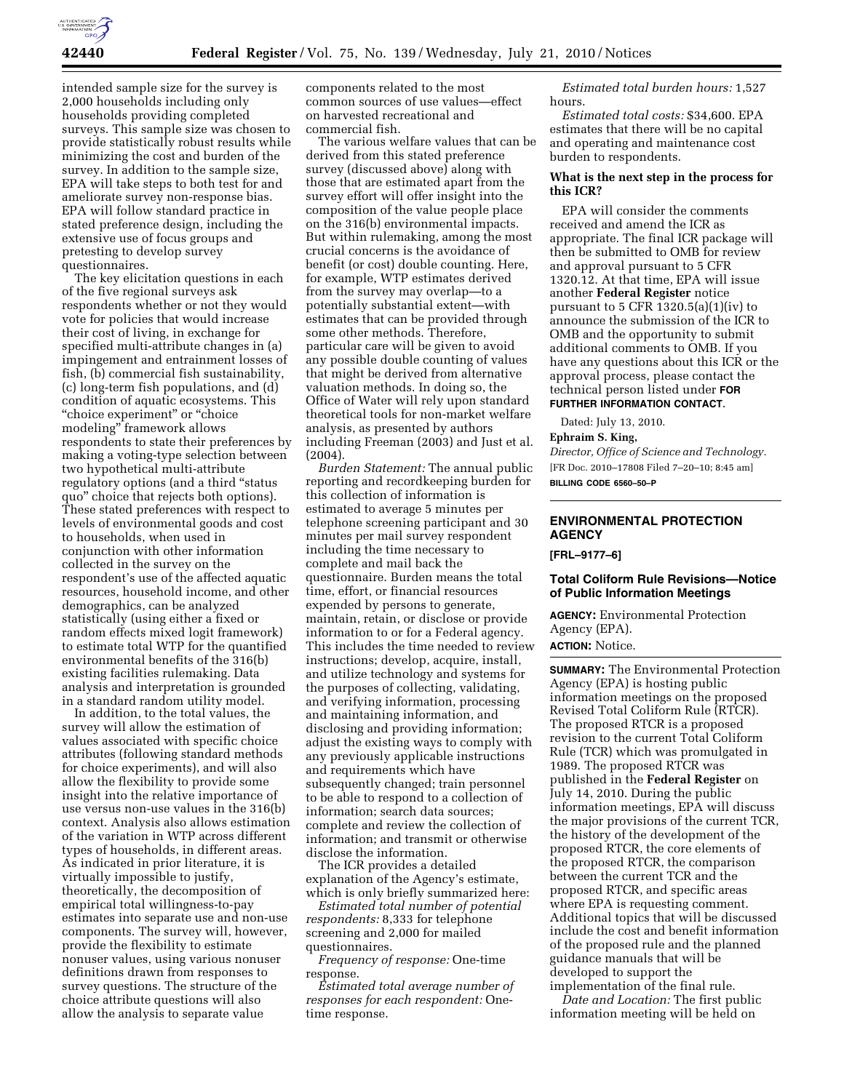

intended sample size for the survey is 2,000 households including only households providing completed surveys. This sample size was chosen to provide statistically robust results while minimizing the cost and burden of the survey. In addition to the sample size, EPA will take steps to both test for and ameliorate survey non-response bias. EPA will follow standard practice in stated preference design, including the extensive use of focus groups and pretesting to develop survey questionnaires.

The key elicitation questions in each of the five regional surveys ask respondents whether or not they would vote for policies that would increase their cost of living, in exchange for specified multi-attribute changes in (a) impingement and entrainment losses of fish, (b) commercial fish sustainability, (c) long-term fish populations, and (d) condition of aquatic ecosystems. This ''choice experiment'' or ''choice modeling'' framework allows respondents to state their preferences by making a voting-type selection between two hypothetical multi-attribute regulatory options (and a third ''status quo'' choice that rejects both options). These stated preferences with respect to levels of environmental goods and cost to households, when used in conjunction with other information collected in the survey on the respondent's use of the affected aquatic resources, household income, and other demographics, can be analyzed statistically (using either a fixed or random effects mixed logit framework) to estimate total WTP for the quantified environmental benefits of the 316(b) existing facilities rulemaking. Data analysis and interpretation is grounded in a standard random utility model.

In addition, to the total values, the survey will allow the estimation of values associated with specific choice attributes (following standard methods for choice experiments), and will also allow the flexibility to provide some insight into the relative importance of use versus non-use values in the 316(b) context. Analysis also allows estimation of the variation in WTP across different types of households, in different areas. As indicated in prior literature, it is virtually impossible to justify, theoretically, the decomposition of empirical total willingness-to-pay estimates into separate use and non-use components. The survey will, however, provide the flexibility to estimate nonuser values, using various nonuser definitions drawn from responses to survey questions. The structure of the choice attribute questions will also allow the analysis to separate value

components related to the most common sources of use values—effect on harvested recreational and commercial fish.

The various welfare values that can be derived from this stated preference survey (discussed above) along with those that are estimated apart from the survey effort will offer insight into the composition of the value people place on the 316(b) environmental impacts. But within rulemaking, among the most crucial concerns is the avoidance of benefit (or cost) double counting. Here, for example, WTP estimates derived from the survey may overlap—to a potentially substantial extent—with estimates that can be provided through some other methods. Therefore, particular care will be given to avoid any possible double counting of values that might be derived from alternative valuation methods. In doing so, the Office of Water will rely upon standard theoretical tools for non-market welfare analysis, as presented by authors including Freeman (2003) and Just et al. (2004).

*Burden Statement:* The annual public reporting and recordkeeping burden for this collection of information is estimated to average 5 minutes per telephone screening participant and 30 minutes per mail survey respondent including the time necessary to complete and mail back the questionnaire. Burden means the total time, effort, or financial resources expended by persons to generate, maintain, retain, or disclose or provide information to or for a Federal agency. This includes the time needed to review instructions; develop, acquire, install, and utilize technology and systems for the purposes of collecting, validating, and verifying information, processing and maintaining information, and disclosing and providing information; adjust the existing ways to comply with any previously applicable instructions and requirements which have subsequently changed; train personnel to be able to respond to a collection of information; search data sources; complete and review the collection of information; and transmit or otherwise disclose the information.

The ICR provides a detailed explanation of the Agency's estimate, which is only briefly summarized here:

*Estimated total number of potential respondents:* 8,333 for telephone screening and 2,000 for mailed questionnaires.

*Frequency of response:* One-time response.

*Estimated total average number of responses for each respondent:* Onetime response.

*Estimated total burden hours:* 1,527 hours.

*Estimated total costs:* \$34,600. EPA estimates that there will be no capital and operating and maintenance cost burden to respondents.

### **What is the next step in the process for this ICR?**

EPA will consider the comments received and amend the ICR as appropriate. The final ICR package will then be submitted to OMB for review and approval pursuant to 5 CFR 1320.12. At that time, EPA will issue another **Federal Register** notice pursuant to 5 CFR 1320.5(a)(1)(iv) to announce the submission of the ICR to OMB and the opportunity to submit additional comments to OMB. If you have any questions about this ICR or the approval process, please contact the technical person listed under **FOR FURTHER INFORMATION CONTACT**.

Dated: July 13, 2010.

#### **Ephraim S. King,**

*Director, Office of Science and Technology.*  [FR Doc. 2010–17808 Filed 7–20–10; 8:45 am] **BILLING CODE 6560–50–P** 

# **ENVIRONMENTAL PROTECTION AGENCY**

**[FRL–9177–6]** 

### **Total Coliform Rule Revisions—Notice of Public Information Meetings**

**AGENCY:** Environmental Protection Agency (EPA).

# **ACTION:** Notice.

**SUMMARY:** The Environmental Protection Agency (EPA) is hosting public information meetings on the proposed Revised Total Coliform Rule (RTCR). The proposed RTCR is a proposed revision to the current Total Coliform Rule (TCR) which was promulgated in 1989. The proposed RTCR was published in the **Federal Register** on July 14, 2010. During the public information meetings, EPA will discuss the major provisions of the current TCR, the history of the development of the proposed RTCR, the core elements of the proposed RTCR, the comparison between the current TCR and the proposed RTCR, and specific areas where EPA is requesting comment. Additional topics that will be discussed include the cost and benefit information of the proposed rule and the planned guidance manuals that will be developed to support the implementation of the final rule.

*Date and Location:* The first public information meeting will be held on